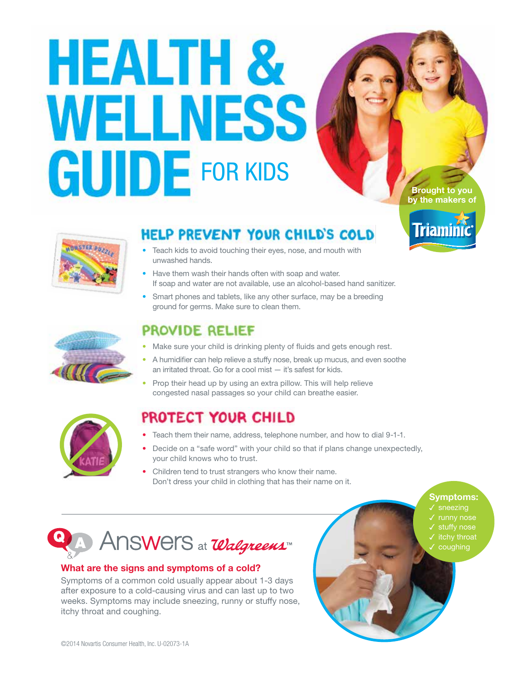# HEALTH & WELLNESS **GUIDE** FOR KIDS

**Brought to you by the makers of** 

**Triamini** 

**Symptoms:**  sneezing



## HELP PREVENT YOUR CHILD'S COLD

- **•** Teach kids to avoid touching their eyes, nose, and mouth with unwashed hands.
- **•** Have them wash their hands often with soap and water. If soap and water are not available, use an alcohol-based hand sanitizer.
- **•** Smart phones and tablets, like any other surface, may be a breeding ground for germs. Make sure to clean them.



## PROVIDE RELIEF

- **•** Make sure your child is drinking plenty of fluids and gets enough rest.
- **•** A humidifier can help relieve a stuffy nose, break up mucus, and even soothe an irritated throat. Go for a cool mist — it's safest for kids.
- **•** Prop their head up by using an extra pillow. This will help relieve congested nasal passages so your child can breathe easier.



## PROTECT YOUR CHILD

- **•** Teach them their name, address, telephone number, and how to dial 9-1-1.
- **•** Decide on a "safe word" with your child so that if plans change unexpectedly, your child knows who to trust.
- **•** Children tend to trust strangers who know their name. Don't dress your child in clothing that has their name on it.



#### **What are the signs and symptoms of a cold?**

Symptoms of a common cold usually appear about 1-3 days after exposure to a cold-causing virus and can last up to two weeks. Symptoms may include sneezing, runny or stuffy nose, itchy throat and coughing.